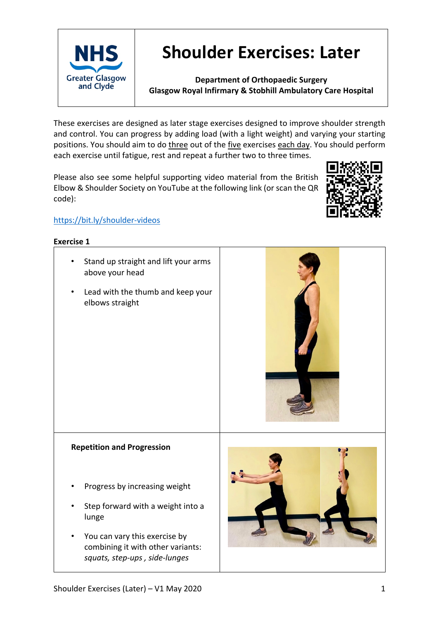

# **Shoulder Exercises: Later**

**Department of Orthopaedic Surgery Glasgow Royal Infirmary & Stobhill Ambulatory Care Hospital**

These exercises are designed as later stage exercises designed to improve shoulder strength and control. You can progress by adding load (with a light weight) and varying your starting positions. You should aim to do three out of the five exercises each day. You should perform each exercise until fatigue, rest and repeat a further two to three times.

Please also see some helpful supporting video material from the British Elbow & Shoulder Society on YouTube at the following link (or scan the QR code):



# https://bit.ly/shoulder-videos

#### **Exercise 1**

- Stand up straight and lift your arms above your head
- Lead with the thumb and keep your elbows straight



## **Repetition and Progression**

- Progress by increasing weight
- Step forward with a weight into a lunge
- You can vary this exercise by combining it with other variants: *squats, step-ups , side-lunges*

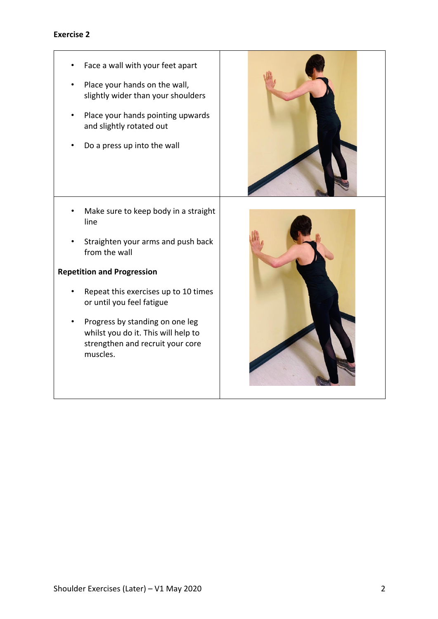# **Exercise 2**

Face a wall with your feet apart Place your hands on the wall, slightly wider than your shoulders • Place your hands pointing upwards and slightly rotated out • Do a press up into the wall • Make sure to keep body in a straight line • Straighten your arms and push back from the wall **Repetition and Progression** • Repeat this exercises up to 10 times or until you feel fatigue • Progress by standing on one leg whilst you do it. This will help to strengthen and recruit your core muscles.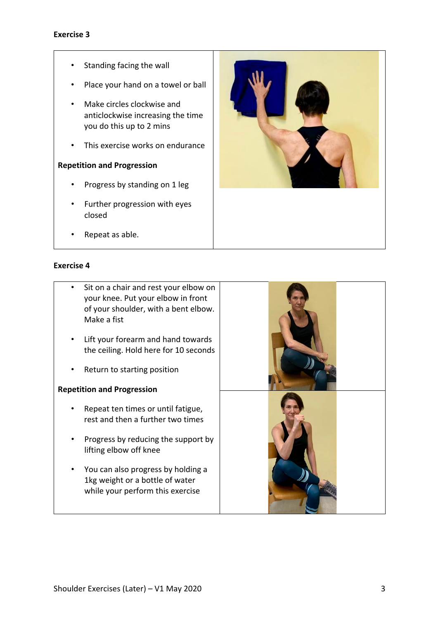## **Exercise 3**

- Standing facing the wall
- Place your hand on a towel or ball
- Make circles clockwise and anticlockwise increasing the time you do this up to 2 mins
- This exercise works on endurance

#### **Repetition and Progression**

- Progress by standing on 1 leg
- Further progression with eyes closed



• Repeat as able.

#### **Exercise 4**